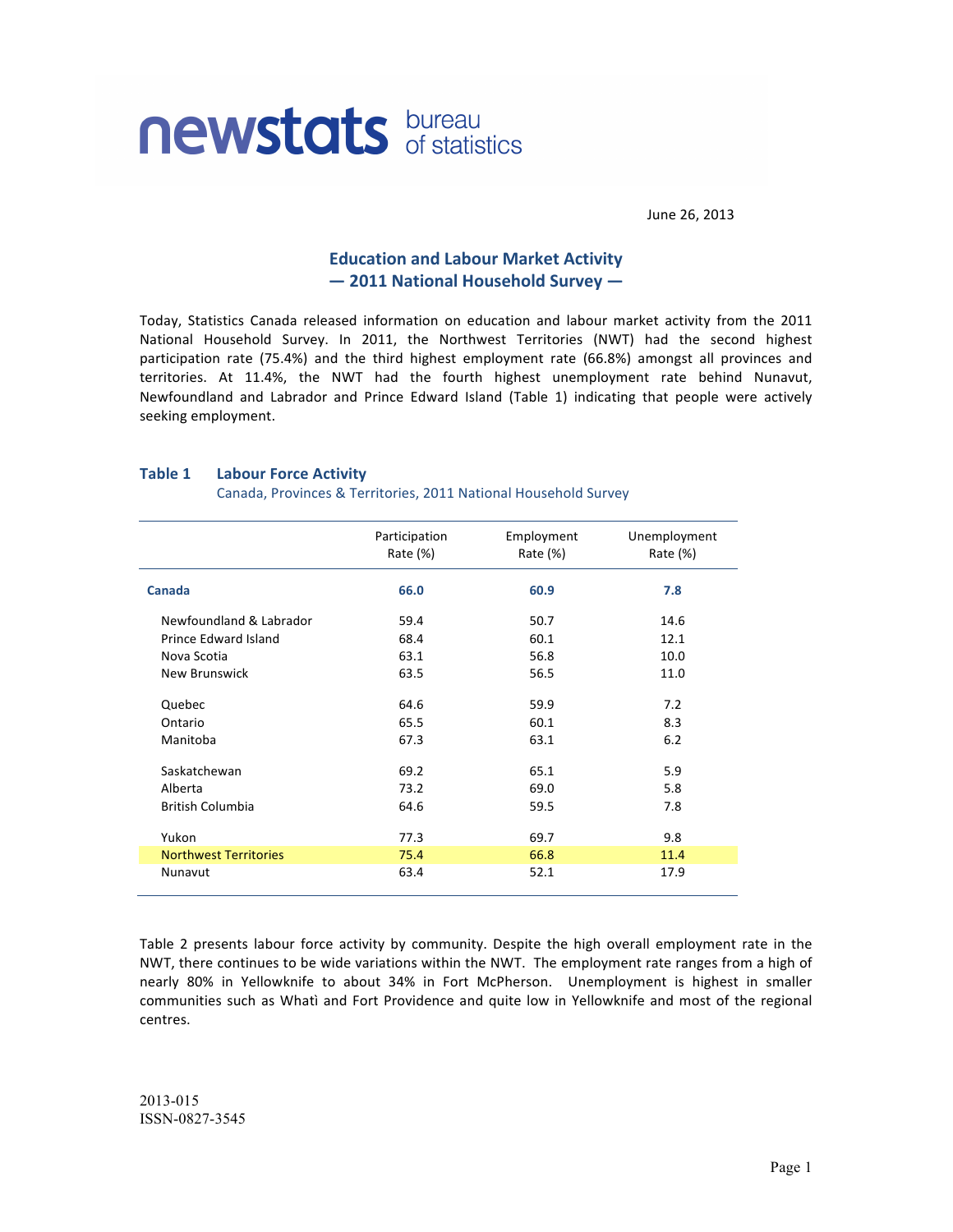

June 26, 2013

### **Education and Labour Market Activity**  $-$  2011 National Household Survey —

Today, Statistics Canada released information on education and labour market activity from the 2011 National Household Survey. In 2011, the Northwest Territories (NWT) had the second highest participation rate (75.4%) and the third highest employment rate (66.8%) amongst all provinces and territories. At 11.4%, the NWT had the fourth highest unemployment rate behind Nunavut, Newfoundland and Labrador and Prince Edward Island (Table 1) indicating that people were actively seeking employment.

#### **Table 1 Labour Force Activity**

Canada, Provinces & Territories, 2011 National Household Survey

|                              | Participation<br>Rate (%) | Employment<br>Rate (%) | Unemployment<br>Rate $(\%)$ |  |  |
|------------------------------|---------------------------|------------------------|-----------------------------|--|--|
| Canada                       | 66.0                      | 60.9                   | 7.8                         |  |  |
| Newfoundland & Labrador      | 59.4                      | 50.7                   | 14.6                        |  |  |
| Prince Edward Island         | 68.4                      | 60.1                   | 12.1                        |  |  |
| Nova Scotia                  | 63.1                      | 56.8                   | 10.0                        |  |  |
| New Brunswick                | 63.5                      | 56.5                   | 11.0                        |  |  |
| Quebec                       | 64.6                      | 59.9                   | 7.2                         |  |  |
| Ontario                      | 65.5                      | 60.1                   | 8.3                         |  |  |
| Manitoba                     | 67.3                      | 63.1                   | 6.2                         |  |  |
| Saskatchewan                 | 69.2                      | 65.1                   | 5.9                         |  |  |
| Alberta                      | 73.2                      | 69.0                   | 5.8                         |  |  |
| <b>British Columbia</b>      | 64.6                      | 59.5                   | 7.8                         |  |  |
| Yukon                        | 77.3                      | 69.7                   | 9.8                         |  |  |
| <b>Northwest Territories</b> | 75.4                      | 66.8                   | 11.4                        |  |  |
| Nunavut                      | 63.4                      | 52.1                   | 17.9                        |  |  |

Table 2 presents labour force activity by community. Despite the high overall employment rate in the NWT, there continues to be wide variations within the NWT. The employment rate ranges from a high of nearly 80% in Yellowknife to about 34% in Fort McPherson. Unemployment is highest in smaller communities such as Whatì and Fort Providence and quite low in Yellowknife and most of the regional centres.

2013-015 ISSN-0827-3545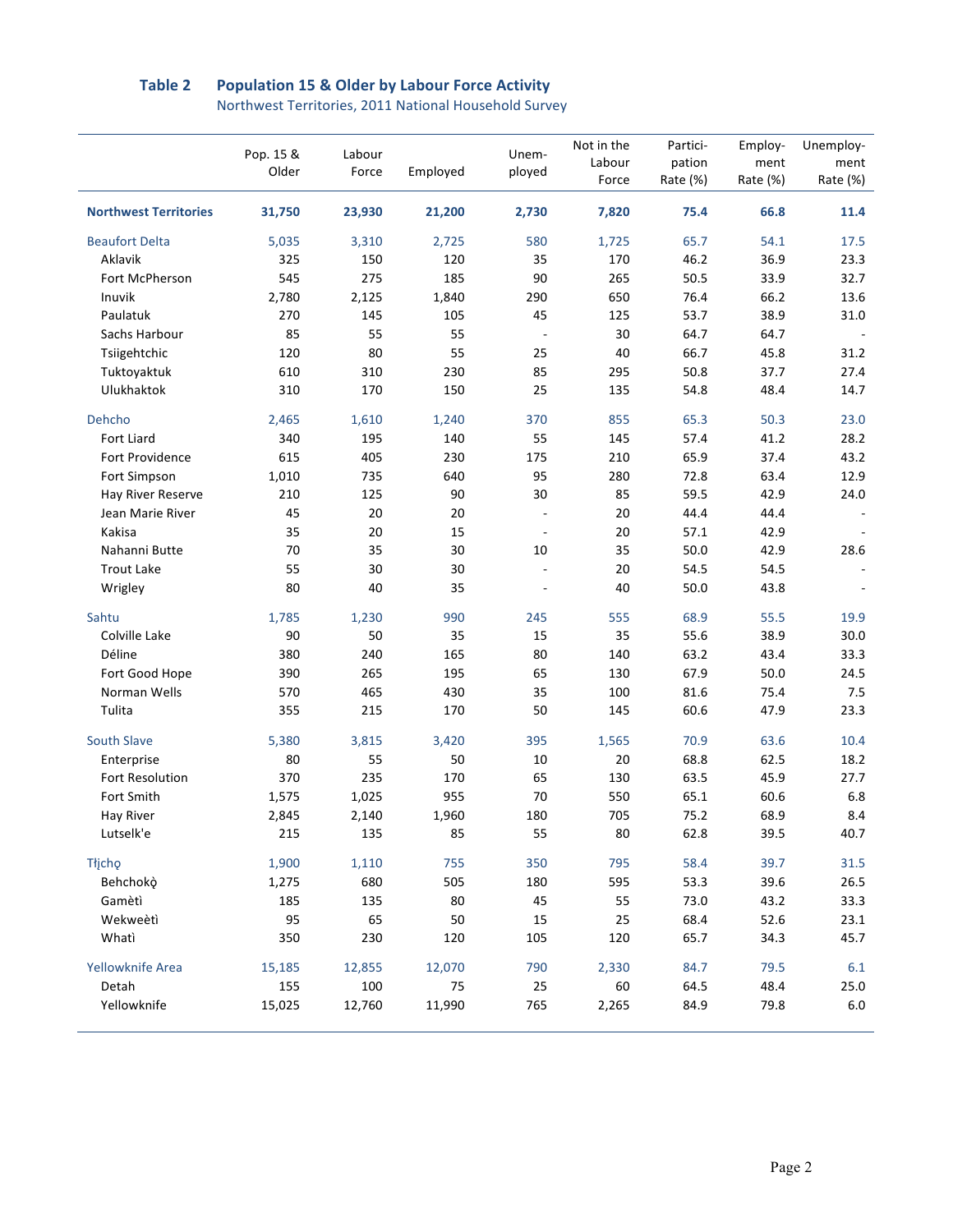## Table 2 **Population 15 & Older by Labour Force Activity**

Northwest Territories, 2011 National Household Survey

|                              | Pop. 15 & | Labour | Employed | Unem-  | Not in the<br>Labour | Partici-<br>pation | Employ-<br>ment | Unemploy-<br>ment |
|------------------------------|-----------|--------|----------|--------|----------------------|--------------------|-----------------|-------------------|
|                              | Older     | Force  |          | ployed | Force                | Rate (%)           | Rate (%)        | Rate (%)          |
| <b>Northwest Territories</b> | 31,750    | 23,930 | 21,200   | 2,730  | 7,820                | 75.4               | 66.8            | 11.4              |
| <b>Beaufort Delta</b>        | 5,035     | 3,310  | 2,725    | 580    | 1,725                | 65.7               | 54.1            | 17.5              |
| Aklavik                      | 325       | 150    | 120      | 35     | 170                  | 46.2               | 36.9            | 23.3              |
| Fort McPherson               | 545       | 275    | 185      | 90     | 265                  | 50.5               | 33.9            | 32.7              |
| Inuvik                       | 2,780     | 2,125  | 1,840    | 290    | 650                  | 76.4               | 66.2            | 13.6              |
| Paulatuk                     | 270       | 145    | 105      | 45     | 125                  | 53.7               | 38.9            | 31.0              |
| Sachs Harbour                | 85        | 55     | 55       | $\sim$ | 30                   | 64.7               | 64.7            |                   |
| Tsiigehtchic                 | 120       | 80     | 55       | 25     | 40                   | 66.7               | 45.8            | 31.2              |
| Tuktoyaktuk                  | 610       | 310    | 230      | 85     | 295                  | 50.8               | 37.7            | 27.4              |
| Ulukhaktok                   | 310       | 170    | 150      | 25     | 135                  | 54.8               | 48.4            | 14.7              |
| Dehcho                       | 2,465     | 1,610  | 1,240    | 370    | 855                  | 65.3               | 50.3            | 23.0              |
| Fort Liard                   | 340       | 195    | 140      | 55     | 145                  | 57.4               | 41.2            | 28.2              |
| Fort Providence              | 615       | 405    | 230      | 175    | 210                  | 65.9               | 37.4            | 43.2              |
| Fort Simpson                 | 1,010     | 735    | 640      | 95     | 280                  | 72.8               | 63.4            | 12.9              |
| Hay River Reserve            | 210       | 125    | 90       | 30     | 85                   | 59.5               | 42.9            | 24.0              |
| Jean Marie River             | 45        | 20     | 20       |        | 20                   | 44.4               | 44.4            |                   |
| Kakisa                       | 35        | 20     | 15       |        | 20                   | 57.1               | 42.9            |                   |
| Nahanni Butte                | 70        | 35     | 30       | 10     | 35                   | 50.0               | 42.9            | 28.6              |
| <b>Trout Lake</b>            | 55        | 30     | 30       |        | 20                   | 54.5               | 54.5            |                   |
| Wrigley                      | 80        | 40     | 35       |        | 40                   | 50.0               | 43.8            |                   |
| Sahtu                        | 1,785     | 1,230  | 990      | 245    | 555                  | 68.9               | 55.5            | 19.9              |
| Colville Lake                | 90        | 50     | 35       | 15     | 35                   | 55.6               | 38.9            | 30.0              |
| Déline                       | 380       | 240    | 165      | 80     | 140                  | 63.2               | 43.4            | 33.3              |
| Fort Good Hope               | 390       | 265    | 195      | 65     | 130                  | 67.9               | $50.0$          | 24.5              |
| Norman Wells                 | 570       | 465    | 430      | 35     | 100                  | 81.6               | 75.4            | 7.5               |
| Tulita                       | 355       | 215    | 170      | 50     | 145                  | 60.6               | 47.9            | 23.3              |
| South Slave                  | 5,380     | 3,815  | 3,420    | 395    | 1,565                | 70.9               | 63.6            | 10.4              |
| Enterprise                   | 80        | 55     | 50       | 10     | 20                   | 68.8               | 62.5            | 18.2              |
| <b>Fort Resolution</b>       | 370       | 235    | 170      | 65     | 130                  | 63.5               | 45.9            | 27.7              |
| Fort Smith                   | 1,575     | 1,025  | 955      | $70\,$ | 550                  | 65.1               | 60.6            | 6.8               |
| Hay River                    | 2,845     | 2,140  | 1,960    | 180    | 705                  | 75.2               | 68.9            | 8.4               |
| Lutselk'e                    | 215       | 135    | 85       | 55     | 80                   | 62.8               | 39.5            | 40.7              |
| Tłįchę                       | 1,900     | 1,110  | 755      | 350    | 795                  | 58.4               | 39.7            | 31.5              |
| Behchokò                     | 1,275     | 680    | 505      | 180    | 595                  | 53.3               | 39.6            | 26.5              |
| Gamètì                       | 185       | 135    | 80       | 45     | 55                   | 73.0               | 43.2            | 33.3              |
| Wekweètì                     | 95        | 65     | 50       | 15     | 25                   | 68.4               | 52.6            | 23.1              |
| Whati                        | 350       | 230    | 120      | 105    | 120                  | 65.7               | 34.3            | 45.7              |
| Yellowknife Area             | 15,185    | 12,855 | 12,070   | 790    | 2,330                | 84.7               | 79.5            | 6.1               |
| Detah                        | 155       | 100    | 75       | 25     | 60                   | 64.5               | 48.4            | 25.0              |
| Yellowknife                  | 15,025    | 12,760 | 11,990   | 765    | 2,265                | 84.9               | 79.8            | 6.0               |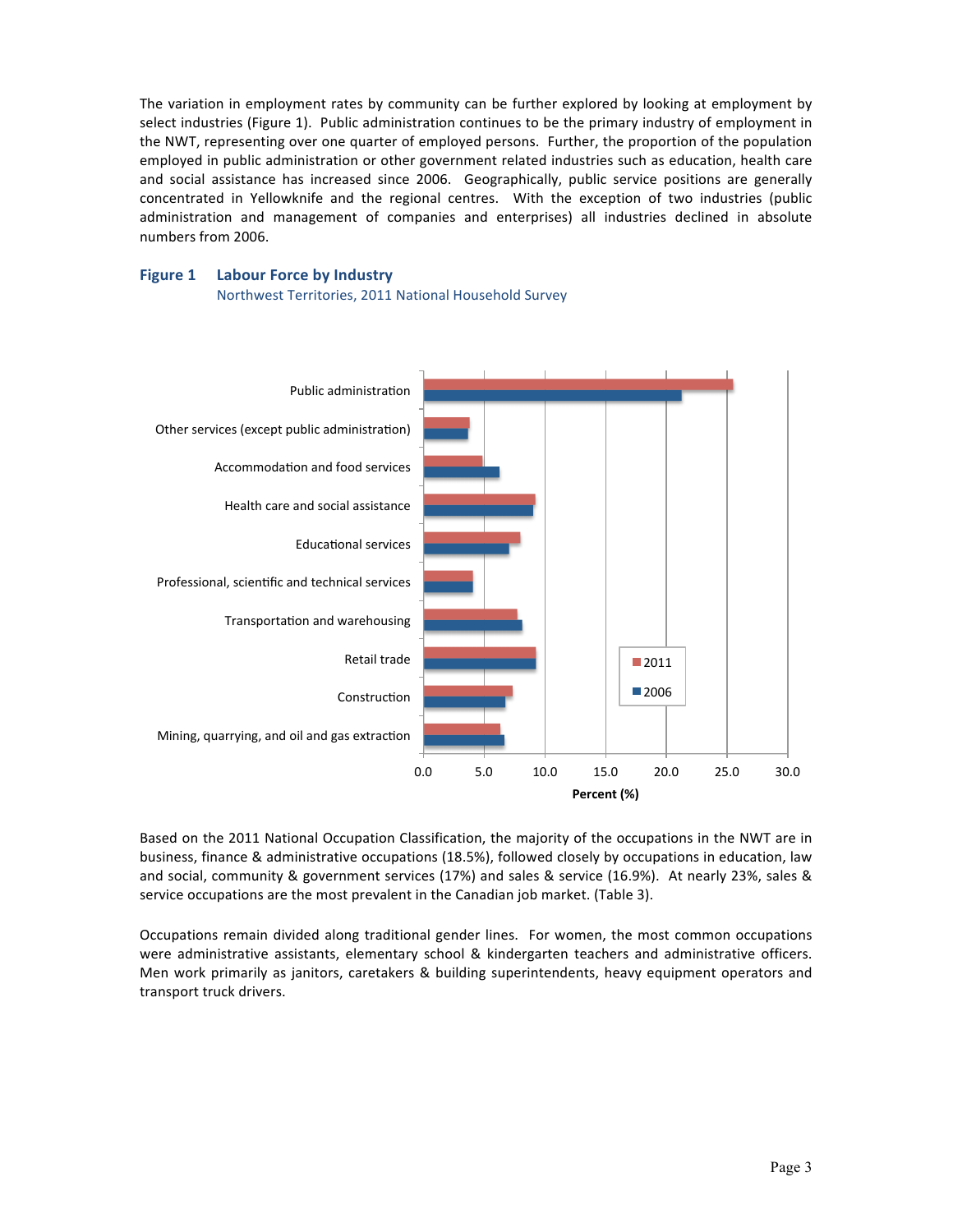The variation in employment rates by community can be further explored by looking at employment by select industries (Figure 1). Public administration continues to be the primary industry of employment in the NWT, representing over one quarter of employed persons. Further, the proportion of the population employed in public administration or other government related industries such as education, health care and social assistance has increased since 2006. Geographically, public service positions are generally concentrated in Yellowknife and the regional centres. With the exception of two industries (public administration and management of companies and enterprises) all industries declined in absolute numbers from 2006.

# **Figure 1 Labour Force by Industry**

Northwest Territories, 2011 National Household Survey



Based on the 2011 National Occupation Classification, the majority of the occupations in the NWT are in business, finance & administrative occupations (18.5%), followed closely by occupations in education, law and social, community & government services (17%) and sales & service (16.9%). At nearly 23%, sales & service occupations are the most prevalent in the Canadian job market. (Table 3).

Occupations remain divided along traditional gender lines. For women, the most common occupations were administrative assistants, elementary school & kindergarten teachers and administrative officers. Men work primarily as janitors, caretakers & building superintendents, heavy equipment operators and transport truck drivers.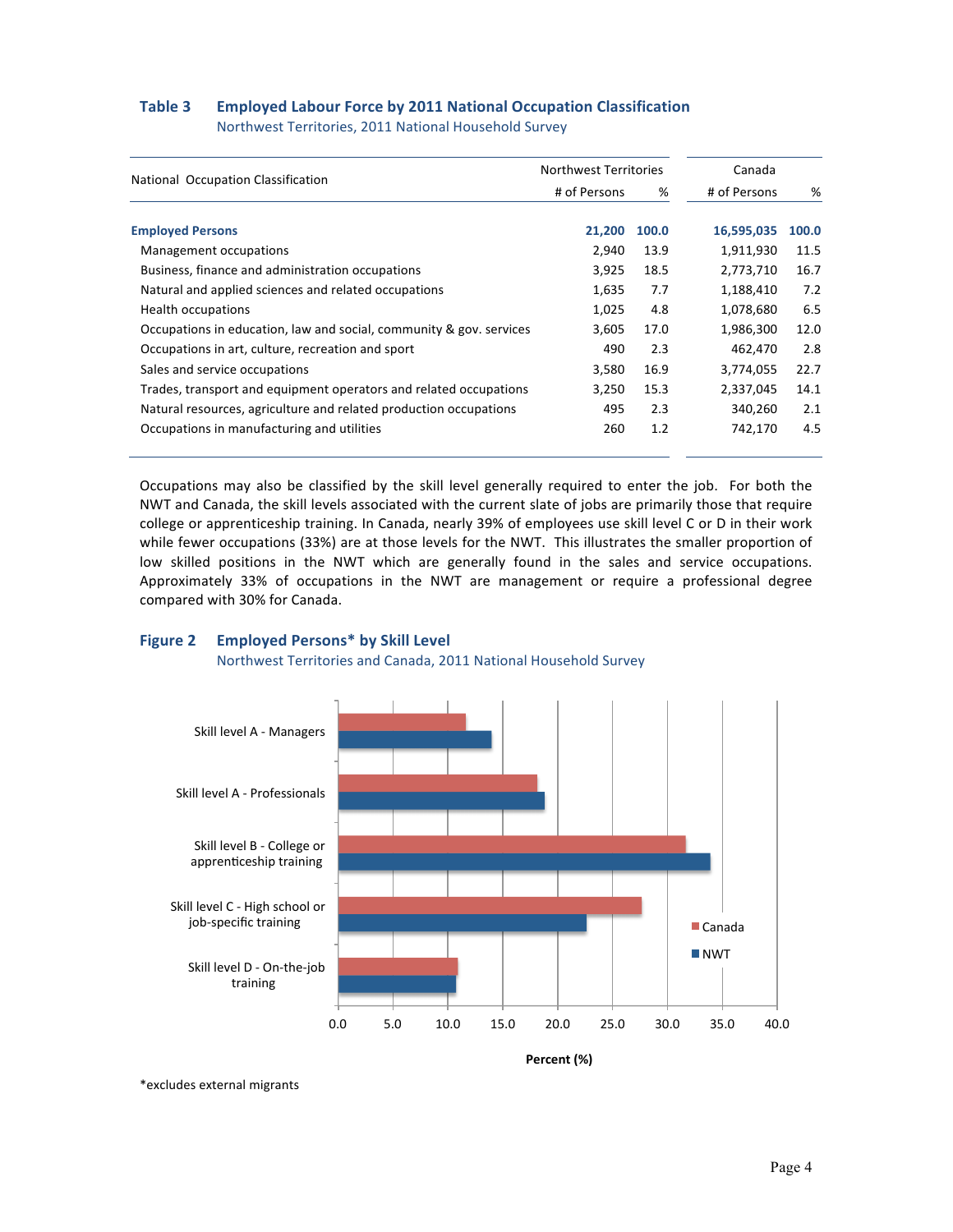#### **Table 3 Employed Labour Force by 2011 National Occupation Classification**

Northwest Territories, 2011 National Household Survey

|                                                                     | <b>Northwest Territories</b> |       | Canada       |       |
|---------------------------------------------------------------------|------------------------------|-------|--------------|-------|
| National Occupation Classification                                  | # of Persons                 | %     | # of Persons | %     |
|                                                                     |                              |       |              |       |
| <b>Employed Persons</b>                                             | 21,200                       | 100.0 | 16,595,035   | 100.0 |
| Management occupations                                              | 2,940                        | 13.9  | 1,911,930    | 11.5  |
| Business, finance and administration occupations                    | 3,925                        | 18.5  | 2,773,710    | 16.7  |
| Natural and applied sciences and related occupations                | 1,635                        | 7.7   | 1,188,410    | 7.2   |
| Health occupations                                                  | 1,025                        | 4.8   | 1,078,680    | 6.5   |
| Occupations in education, law and social, community & gov. services | 3,605                        | 17.0  | 1,986,300    | 12.0  |
| Occupations in art, culture, recreation and sport                   | 490                          | 2.3   | 462,470      | 2.8   |
| Sales and service occupations                                       | 3,580                        | 16.9  | 3,774,055    | 22.7  |
| Trades, transport and equipment operators and related occupations   | 3,250                        | 15.3  | 2,337,045    | 14.1  |
| Natural resources, agriculture and related production occupations   | 495                          | 2.3   | 340,260      | 2.1   |
| Occupations in manufacturing and utilities                          | 260                          | 1.2   | 742,170      | 4.5   |

Occupations may also be classified by the skill level generally required to enter the job. For both the NWT and Canada, the skill levels associated with the current slate of jobs are primarily those that require college or apprenticeship training. In Canada, nearly 39% of employees use skill level C or D in their work while fewer occupations (33%) are at those levels for the NWT. This illustrates the smaller proportion of low skilled positions in the NWT which are generally found in the sales and service occupations. Approximately 33% of occupations in the NWT are management or require a professional degree compared with 30% for Canada.

#### **Figure 2** Employed Persons\* by Skill Level





\*excludes external migrants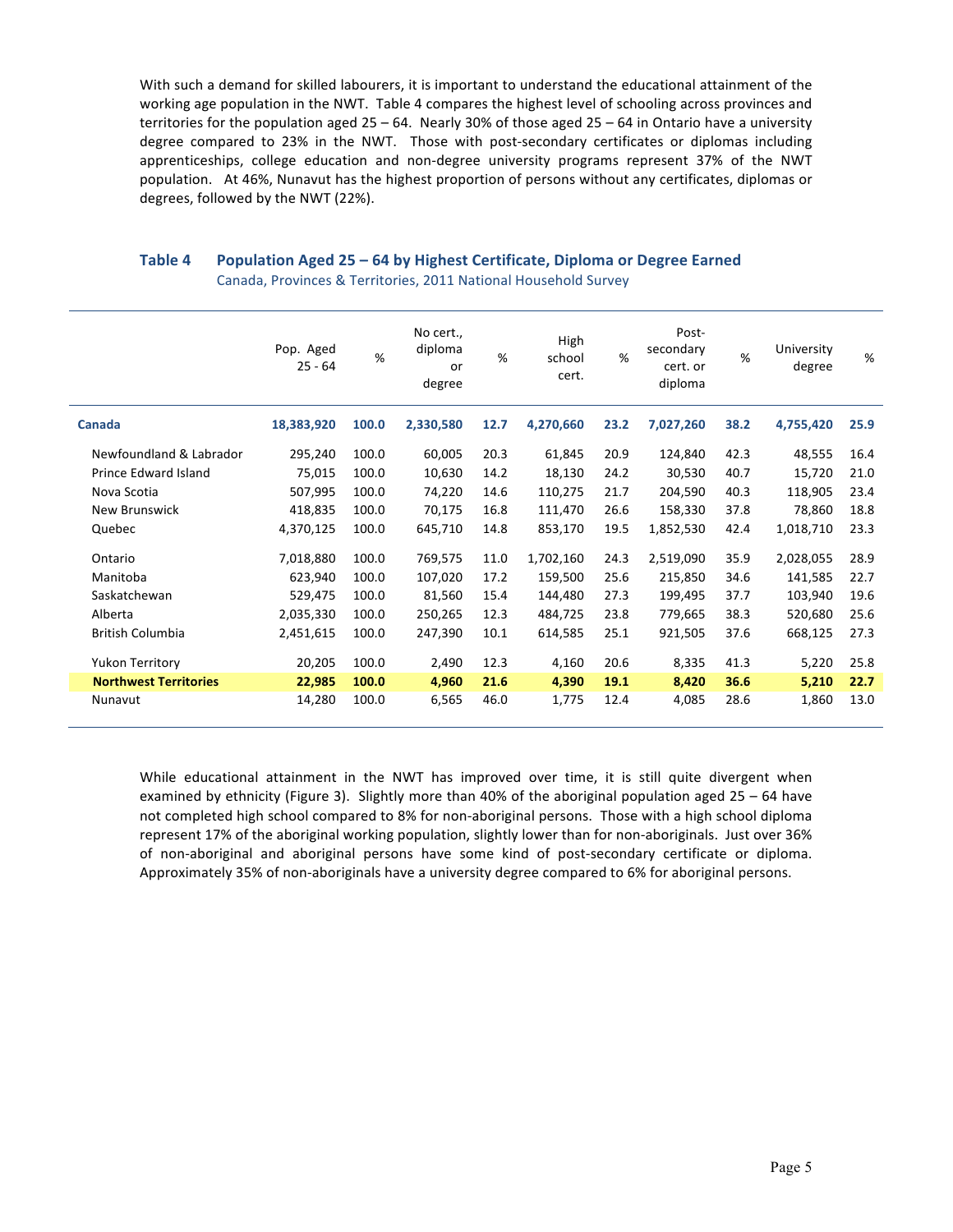With such a demand for skilled labourers, it is important to understand the educational attainment of the working age population in the NWT. Table 4 compares the highest level of schooling across provinces and territories for the population aged  $25 - 64$ . Nearly 30% of those aged  $25 - 64$  in Ontario have a university degree compared to 23% in the NWT. Those with post-secondary certificates or diplomas including apprenticeships, college education and non-degree university programs represent 37% of the NWT population. At 46%, Nunavut has the highest proportion of persons without any certificates, diplomas or degrees, followed by the NWT (22%).

#### **Table 4 • Population Aged 25 – 64 by Highest Certificate, Diploma or Degree Earned** Canada, Provinces & Territories, 2011 National Household Survey

|                              | Pop. Aged<br>$25 - 64$ | %     | No cert.,<br>diploma<br>or<br>degree | %    | High<br>school<br>cert. | %    | Post-<br>secondary<br>cert. or<br>diploma | %    | University<br>degree | %    |
|------------------------------|------------------------|-------|--------------------------------------|------|-------------------------|------|-------------------------------------------|------|----------------------|------|
| Canada                       | 18,383,920             | 100.0 | 2,330,580                            | 12.7 | 4,270,660               | 23.2 | 7,027,260                                 | 38.2 | 4,755,420            | 25.9 |
| Newfoundland & Labrador      | 295,240                | 100.0 | 60,005                               | 20.3 | 61,845                  | 20.9 | 124,840                                   | 42.3 | 48,555               | 16.4 |
| Prince Edward Island         | 75,015                 | 100.0 | 10,630                               | 14.2 | 18,130                  | 24.2 | 30,530                                    | 40.7 | 15,720               | 21.0 |
| Nova Scotia                  | 507,995                | 100.0 | 74,220                               | 14.6 | 110,275                 | 21.7 | 204,590                                   | 40.3 | 118,905              | 23.4 |
| <b>New Brunswick</b>         | 418,835                | 100.0 | 70,175                               | 16.8 | 111,470                 | 26.6 | 158,330                                   | 37.8 | 78,860               | 18.8 |
| Quebec                       | 4,370,125              | 100.0 | 645,710                              | 14.8 | 853,170                 | 19.5 | 1,852,530                                 | 42.4 | 1,018,710            | 23.3 |
| Ontario                      | 7,018,880              | 100.0 | 769,575                              | 11.0 | 1,702,160               | 24.3 | 2,519,090                                 | 35.9 | 2,028,055            | 28.9 |
| Manitoba                     | 623,940                | 100.0 | 107,020                              | 17.2 | 159,500                 | 25.6 | 215,850                                   | 34.6 | 141,585              | 22.7 |
| Saskatchewan                 | 529,475                | 100.0 | 81,560                               | 15.4 | 144,480                 | 27.3 | 199,495                                   | 37.7 | 103,940              | 19.6 |
| Alberta                      | 2,035,330              | 100.0 | 250,265                              | 12.3 | 484,725                 | 23.8 | 779,665                                   | 38.3 | 520,680              | 25.6 |
| British Columbia             | 2,451,615              | 100.0 | 247,390                              | 10.1 | 614,585                 | 25.1 | 921,505                                   | 37.6 | 668,125              | 27.3 |
| <b>Yukon Territory</b>       | 20,205                 | 100.0 | 2,490                                | 12.3 | 4,160                   | 20.6 | 8,335                                     | 41.3 | 5,220                | 25.8 |
| <b>Northwest Territories</b> | 22,985                 | 100.0 | 4,960                                | 21.6 | 4,390                   | 19.1 | 8,420                                     | 36.6 | 5,210                | 22.7 |
| Nunavut                      | 14,280                 | 100.0 | 6,565                                | 46.0 | 1,775                   | 12.4 | 4,085                                     | 28.6 | 1,860                | 13.0 |

While educational attainment in the NWT has improved over time, it is still quite divergent when examined by ethnicity (Figure 3). Slightly more than 40% of the aboriginal population aged 25 – 64 have not completed high school compared to 8% for non-aboriginal persons. Those with a high school diploma represent 17% of the aboriginal working population, slightly lower than for non-aboriginals. Just over 36% of non-aboriginal and aboriginal persons have some kind of post-secondary certificate or diploma. Approximately 35% of non-aboriginals have a university degree compared to 6% for aboriginal persons.